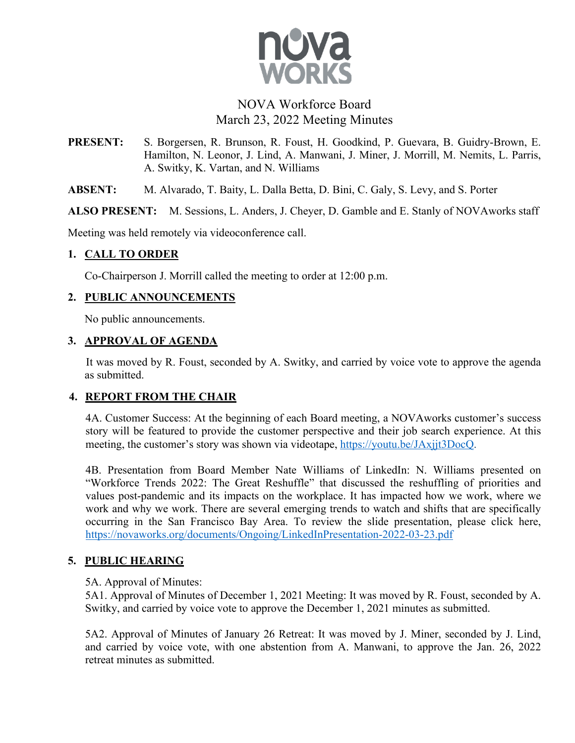

# NOVA Workforce Board March 23, 2022 Meeting Minutes

**PRESENT:** S. Borgersen, R. Brunson, R. Foust, H. Goodkind, P. Guevara, B. Guidry-Brown, E. Hamilton, N. Leonor, J. Lind, A. Manwani, J. Miner, J. Morrill, M. Nemits, L. Parris, A. Switky, K. Vartan, and N. Williams

**ABSENT:** M. Alvarado, T. Baity, L. Dalla Betta, D. Bini, C. Galy, S. Levy, and S. Porter

**ALSO PRESENT:** M. Sessions, L. Anders, J. Cheyer, D. Gamble and E. Stanly of NOVAworks staff

Meeting was held remotely via videoconference call.

## **1. CALL TO ORDER**

Co-Chairperson J. Morrill called the meeting to order at 12:00 p.m.

## **2. PUBLIC ANNOUNCEMENTS**

No public announcements.

#### **3. APPROVAL OF AGENDA**

It was moved by R. Foust, seconded by A. Switky, and carried by voice vote to approve the agenda as submitted.

# **4. REPORT FROM THE CHAIR**

4A. Customer Success: At the beginning of each Board meeting, a NOVAworks customer's success story will be featured to provide the customer perspective and their job search experience. At this meeting, the customer's story was shown via videotape, https://youtu.be/JAxjjt3DocQ.

4B. Presentation from Board Member Nate Williams of LinkedIn: N. Williams presented on "Workforce Trends 2022: The Great Reshuffle" that discussed the reshuffling of priorities and values post-pandemic and its impacts on the workplace. It has impacted how we work, where we work and why we work. There are several emerging trends to watch and shifts that are specifically occurring in the San Francisco Bay Area. To review the slide presentation, please click here, https://novaworks.org/documents/Ongoing/LinkedInPresentation-2022-03-23.pdf

# **5. PUBLIC HEARING**

#### 5A. Approval of Minutes:

5A1. Approval of Minutes of December 1, 2021 Meeting: It was moved by R. Foust, seconded by A. Switky, and carried by voice vote to approve the December 1, 2021 minutes as submitted.

5A2. Approval of Minutes of January 26 Retreat: It was moved by J. Miner, seconded by J. Lind, and carried by voice vote, with one abstention from A. Manwani, to approve the Jan. 26, 2022 retreat minutes as submitted.